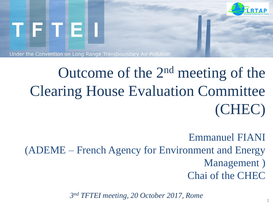

# Outcome of the 2nd meeting of the Clearing House Evaluation Committee (CHEC)

Emmanuel FIANI (ADEME – French Agency for Environment and Energy Management ) Chai of the CHEC

*3 nd TFTEI meeting, 20 October 2017, Rome*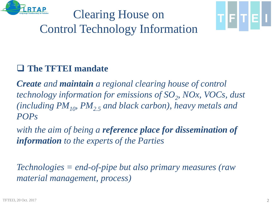

## Clearing House on Control Technology Information



*Create and maintain a regional clearing house of control technology information for emissions of SO<sup>2</sup> , NOx, VOCs, dust (including PM10, PM2.5 and black carbon), heavy metals and POPs* 

*with the aim of being a reference place for dissemination of information to the experts of the Parties*

*Technologies = end-of-pipe but also primary measures (raw material management, process)*

지키기티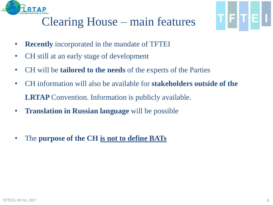

## Clearing House – main features

- **Recently** incorporated in the mandate of TFTEI
- CH still at an early stage of development
- CH will be **tailored to the needs** of the experts of the Parties
- CH information will also be available for **stakeholders outside of the LRTAP** Convention. Information is publicly available.
- **Translation in Russian language** will be possible
- The **purpose of the CH is not to define BATs**

TFITE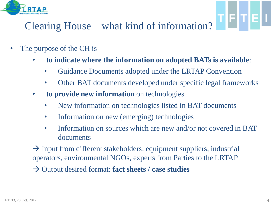

### Clearing House – what kind of information?

- The purpose of the CH is
	- **to indicate where the information on adopted BATs is available**:
		- Guidance Documents adopted under the LRTAP Convention
		- Other BAT documents developed under specific legal frameworks
	- **to provide new information** on technologies
		- New information on technologies listed in BAT documents
		- Information on new (emerging) technologies
		- Information on sources which are new and/or not covered in BAT documents
	- $\rightarrow$  Input from different stakeholders: equipment suppliers, industrial operators, environmental NGOs, experts from Parties to the LRTAP
	- Output desired format: **fact sheets / case studies**

TFTEL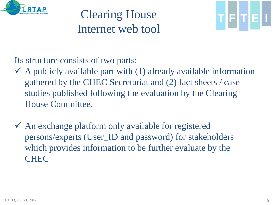

## Clearing House Internet web tool



Its structure consists of two parts:

- $\checkmark$  A publicly available part with (1) already available information gathered by the CHEC Secretariat and (2) fact sheets / case studies published following the evaluation by the Clearing House Committee,
- $\checkmark$  An exchange platform only available for registered persons/experts (User\_ID and password) for stakeholders which provides information to be further evaluate by the **CHEC**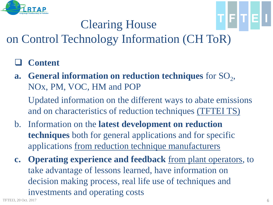

## Clearing House

## on Control Technology Information (CH ToR)

- **Content**
- a. General information on reduction techniques for SO<sub>2</sub>, NOx, PM, VOC, HM and POP

 Updated information on the different ways to abate emissions and on characteristics of reduction techniques (TFTEI TS)

- b. Information on the **latest development on reduction techniques** both for general applications and for specific applications from reduction technique manufacturers
- **c. Operating experience and feedback** from plant operators, to take advantage of lessons learned, have information on decision making process, real life use of techniques and investments and operating costs

'IFIT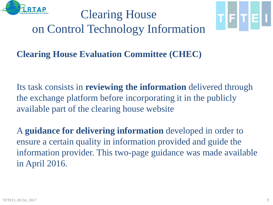

Clearing House on Control Technology Information



**Clearing House Evaluation Committee (CHEC)**

Its task consists in **reviewing the information** delivered through the exchange platform before incorporating it in the publicly available part of the clearing house website

A **guidance for delivering information** developed in order to ensure a certain quality in information provided and guide the information provider. This two-page guidance was made available in April 2016.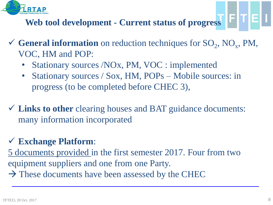

#### **Web tool development - Current status of progress**

- General information on reduction techniques for  $SO_2$ ,  $NO_x$ , PM, VOC, HM and POP:
	- Stationary sources /NOx, PM, VOC : implemented
	- Stationary sources / Sox, HM, POPs Mobile sources: in progress (to be completed before CHEC 3),
- **Links to other** clearing houses and BAT guidance documents: many information incorporated

#### **Exchange Platform**:

5 documents provided in the first semester 2017. Four from two equipment suppliers and one from one Party.  $\rightarrow$  These documents have been assessed by the CHEC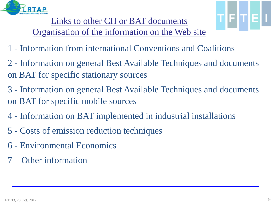

Links to other CH or BAT documents Organisation of the information on the Web site

- 1 Information from international Conventions and Coalitions
- 2 Information on general Best Available Techniques and documents on BAT for specific stationary sources
- 3 Information on general Best Available Techniques and documents on BAT for specific mobile sources
- 4 Information on BAT implemented in industrial installations
- 5 Costs of emission reduction techniques
- 6 Environmental Economics
- 7 Other information

**IFITIEI**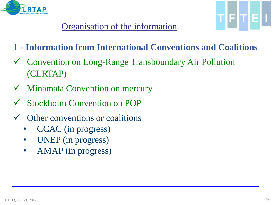

- **1 - Information from International Conventions and Coalitions**
- Convention on Long-Range Transboundary Air Pollution (CLRTAP)
- Minamata Convention on mercury
- Stockholm Convention on POP
- Other conventions or coalitions
	- CCAC (in progress)
	- UNEP (in progress)
	- AMAP (in progress)

TFTE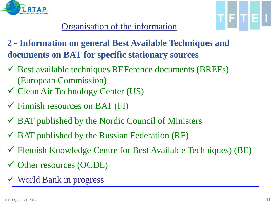



- **2 - Information on general Best Available Techniques and documents on BAT for specific stationary sources**
- $\checkmark$  Best available techniques REFerence documents (BREFs) (European Commission)
- Clean Air Technology Center (US)
- $\checkmark$  Finnish resources on BAT (FI)
- $\checkmark$  BAT published by the Nordic Council of Ministers
- $\overline{\triangledown}$  BAT published by the Russian Federation (RF)
- $\checkmark$  Flemish Knowledge Centre for Best Available Techniques) (BE)
- Other resources (OCDE)
- World Bank in progress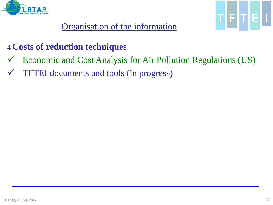



#### **4 Costs of reduction techniques**

- Economic and Cost Analysis for Air Pollution Regulations (US)
- TFTEI documents and tools (in progress)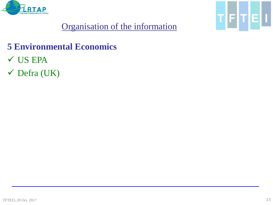



#### **5 Environmental Economics**

- US EPA
- Defra (UK)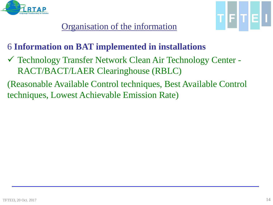



#### 6 **Information on BAT implemented in installations**

- Technology Transfer Network Clean Air Technology Center RACT/BACT/LAER Clearinghouse (RBLC)
- (Reasonable Available Control techniques, Best Available Control techniques, Lowest Achievable Emission Rate)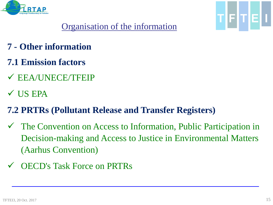



- **7 - Other information**
- **7.1 Emission factors**
- $\checkmark$  EEA/UNECE/TFEIP
- $\checkmark$  US EPA

#### **7.2 PRTRs (Pollutant Release and Transfer Registers)**

- The Convention on Access to Information, Public Participation in Decision-making and Access to Justice in Environmental Matters (Aarhus Convention)
- OECD's Task Force on PRTRs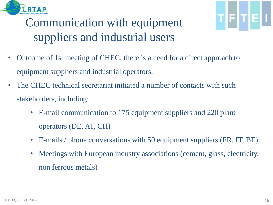

# TFTE

#### **Task force on Techno-Economic Issues**  Communication with equipment suppliers and industrial users

- Outcome of 1st meeting of CHEC: there is a need for a direct approach to equipment suppliers and industrial operators.
- The CHEC technical secretariat initiated a number of contacts with such stakeholders, including:
	- E-mail communication to 175 equipment suppliers and 220 plant operators (DE, AT, CH)
	- E-mails / phone conversations with 50 equipment suppliers (FR, IT, BE)
	- Meetings with European industry associations (cement, glass, electricity, non ferrous metals)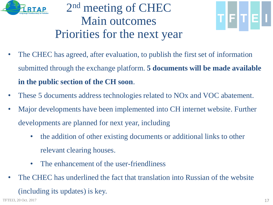

#### **Task force on Techno-Economic Issues**  2<sup>nd</sup> meeting of CHEC Main outcomes Priorities for the next year



- The CHEC has agreed, after evaluation, to publish the first set of information submitted through the exchange platform. **5 documents will be made available in the public section of the CH soon**.
- These 5 documents address technologies related to NO<sub>x</sub> and VOC abatement.
- Major developments have been implemented into CH internet website. Further developments are planned for next year, including
	- the addition of other existing documents or additional links to other relevant clearing houses.
	- The enhancement of the user-friendliness
- The CHEC has underlined the fact that translation into Russian of the website (including its updates) is key.